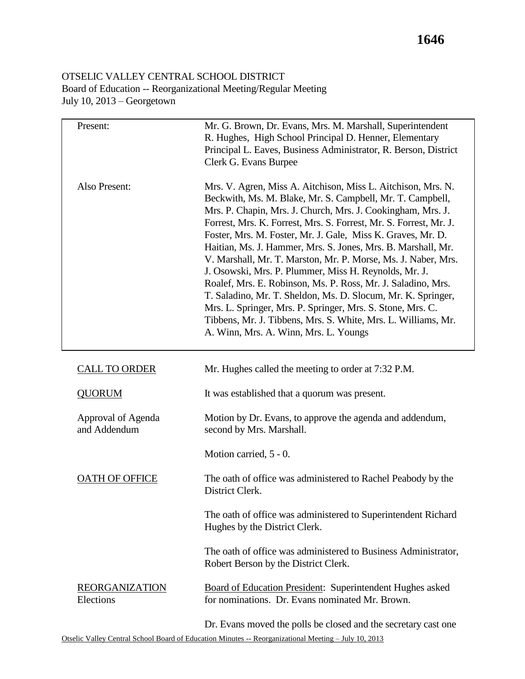## OTSELIC VALLEY CENTRAL SCHOOL DISTRICT Board of Education -- Reorganizational Meeting/Regular Meeting July 10, 2013 – Georgetown

| Present:                           | Mr. G. Brown, Dr. Evans, Mrs. M. Marshall, Superintendent<br>R. Hughes, High School Principal D. Henner, Elementary<br>Principal L. Eaves, Business Administrator, R. Berson, District<br>Clerk G. Evans Burpee                                                                                                                                                                                                                                                                                                                                                                                                                                                                                                                                                                                                                |
|------------------------------------|--------------------------------------------------------------------------------------------------------------------------------------------------------------------------------------------------------------------------------------------------------------------------------------------------------------------------------------------------------------------------------------------------------------------------------------------------------------------------------------------------------------------------------------------------------------------------------------------------------------------------------------------------------------------------------------------------------------------------------------------------------------------------------------------------------------------------------|
| Also Present:                      | Mrs. V. Agren, Miss A. Aitchison, Miss L. Aitchison, Mrs. N.<br>Beckwith, Ms. M. Blake, Mr. S. Campbell, Mr. T. Campbell,<br>Mrs. P. Chapin, Mrs. J. Church, Mrs. J. Cookingham, Mrs. J.<br>Forrest, Mrs. K. Forrest, Mrs. S. Forrest, Mr. S. Forrest, Mr. J.<br>Foster, Mrs. M. Foster, Mr. J. Gale, Miss K. Graves, Mr. D.<br>Haitian, Ms. J. Hammer, Mrs. S. Jones, Mrs. B. Marshall, Mr.<br>V. Marshall, Mr. T. Marston, Mr. P. Morse, Ms. J. Naber, Mrs.<br>J. Osowski, Mrs. P. Plummer, Miss H. Reynolds, Mr. J.<br>Roalef, Mrs. E. Robinson, Ms. P. Ross, Mr. J. Saladino, Mrs.<br>T. Saladino, Mr. T. Sheldon, Ms. D. Slocum, Mr. K. Springer,<br>Mrs. L. Springer, Mrs. P. Springer, Mrs. S. Stone, Mrs. C.<br>Tibbens, Mr. J. Tibbens, Mrs. S. White, Mrs. L. Williams, Mr.<br>A. Winn, Mrs. A. Winn, Mrs. L. Youngs |
| <b>CALL TO ORDER</b>               | Mr. Hughes called the meeting to order at 7:32 P.M.                                                                                                                                                                                                                                                                                                                                                                                                                                                                                                                                                                                                                                                                                                                                                                            |
| <b>QUORUM</b>                      | It was established that a quorum was present.                                                                                                                                                                                                                                                                                                                                                                                                                                                                                                                                                                                                                                                                                                                                                                                  |
| Approval of Agenda<br>and Addendum | Motion by Dr. Evans, to approve the agenda and addendum,<br>second by Mrs. Marshall.                                                                                                                                                                                                                                                                                                                                                                                                                                                                                                                                                                                                                                                                                                                                           |
|                                    | Motion carried, 5 - 0.                                                                                                                                                                                                                                                                                                                                                                                                                                                                                                                                                                                                                                                                                                                                                                                                         |
| <b>OATH OF OFFICE</b>              | The oath of office was administered to Rachel Peabody by the<br>District Clerk.                                                                                                                                                                                                                                                                                                                                                                                                                                                                                                                                                                                                                                                                                                                                                |
|                                    | The oath of office was administered to Superintendent Richard<br>Hughes by the District Clerk.                                                                                                                                                                                                                                                                                                                                                                                                                                                                                                                                                                                                                                                                                                                                 |
|                                    | The oath of office was administered to Business Administrator,<br>Robert Berson by the District Clerk.                                                                                                                                                                                                                                                                                                                                                                                                                                                                                                                                                                                                                                                                                                                         |
| <b>REORGANIZATION</b><br>Elections | Board of Education President: Superintendent Hughes asked<br>for nominations. Dr. Evans nominated Mr. Brown.                                                                                                                                                                                                                                                                                                                                                                                                                                                                                                                                                                                                                                                                                                                   |
|                                    | Dr. Evans moved the polls be closed and the secretary cast one<br>Otselic Valley Central School Board of Education Minutes -- Reorganizational Meeting - July 10, 2013                                                                                                                                                                                                                                                                                                                                                                                                                                                                                                                                                                                                                                                         |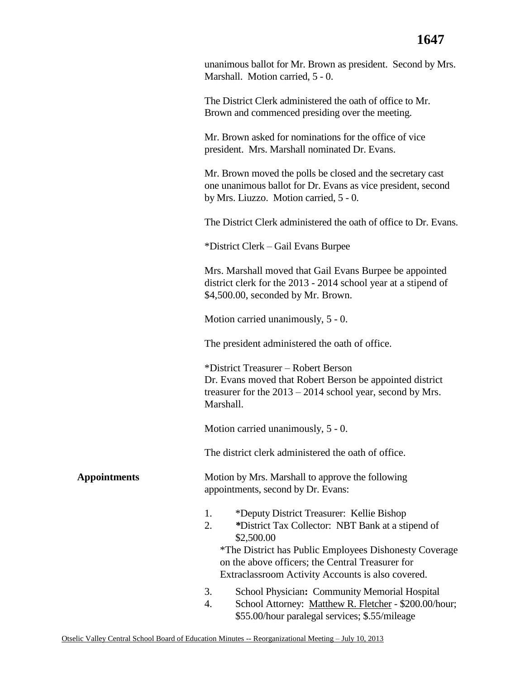unanimous ballot for Mr. Brown as president. Second by Mrs. Marshall. Motion carried, 5 - 0.

The District Clerk administered the oath of office to Mr. Brown and commenced presiding over the meeting.

Mr. Brown asked for nominations for the office of vice president. Mrs. Marshall nominated Dr. Evans.

Mr. Brown moved the polls be closed and the secretary cast one unanimous ballot for Dr. Evans as vice president, second by Mrs. Liuzzo. Motion carried, 5 - 0.

The District Clerk administered the oath of office to Dr. Evans.

\*District Clerk – Gail Evans Burpee

Mrs. Marshall moved that Gail Evans Burpee be appointed district clerk for the 2013 - 2014 school year at a stipend of \$4,500.00, seconded by Mr. Brown.

Motion carried unanimously, 5 - 0.

The president administered the oath of office.

\*District Treasurer – Robert Berson Dr. Evans moved that Robert Berson be appointed district treasurer for the 2013 – 2014 school year, second by Mrs. Marshall.

Motion carried unanimously, 5 - 0.

appointments, second by Dr. Evans:

The district clerk administered the oath of office.

**Appointments** Motion by Mrs. Marshall to approve the following

- 1. \*Deputy District Treasurer: Kellie Bishop
- 2. *\**District Tax Collector: NBT Bank at a stipend of \$2,500.00

\*The District has Public Employees Dishonesty Coverage on the above officers; the Central Treasurer for Extraclassroom Activity Accounts is also covered.

- 3. School Physician**:** Community Memorial Hospital
- 4. School Attorney: Matthew R. Fletcher \$200.00/hour; \$55.00/hour paralegal services; \$.55/mileage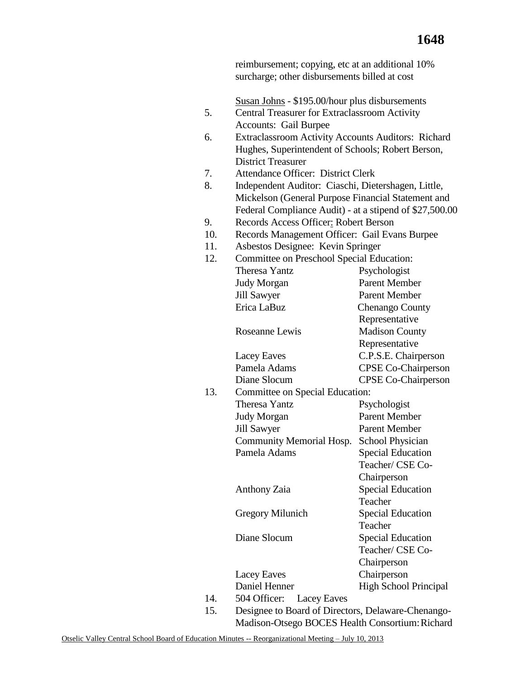reimbursement; copying, etc at an additional 10% surcharge; other disbursements billed at cost

|     | Susan Johns - \$195.00/hour plus disbursements            |                              |  |  |
|-----|-----------------------------------------------------------|------------------------------|--|--|
| 5.  | <b>Central Treasurer for Extraclassroom Activity</b>      |                              |  |  |
|     | <b>Accounts: Gail Burpee</b>                              |                              |  |  |
| 6.  | <b>Extraclassroom Activity Accounts Auditors: Richard</b> |                              |  |  |
|     | Hughes, Superintendent of Schools; Robert Berson,         |                              |  |  |
|     | <b>District Treasurer</b>                                 |                              |  |  |
| 7.  | <b>Attendance Officer: District Clerk</b>                 |                              |  |  |
| 8.  | Independent Auditor: Ciaschi, Dietershagen, Little,       |                              |  |  |
|     | Mickelson (General Purpose Financial Statement and        |                              |  |  |
|     | Federal Compliance Audit) - at a stipend of \$27,500.00   |                              |  |  |
| 9.  | Records Access Officer: Robert Berson                     |                              |  |  |
| 10. | Records Management Officer: Gail Evans Burpee             |                              |  |  |
| 11. | Asbestos Designee: Kevin Springer                         |                              |  |  |
| 12. | Committee on Preschool Special Education:                 |                              |  |  |
|     | <b>Theresa Yantz</b>                                      | Psychologist                 |  |  |
|     | <b>Judy Morgan</b>                                        | <b>Parent Member</b>         |  |  |
|     | <b>Jill Sawyer</b>                                        | <b>Parent Member</b>         |  |  |
|     | Erica LaBuz                                               | <b>Chenango County</b>       |  |  |
|     |                                                           | Representative               |  |  |
|     | Roseanne Lewis                                            | <b>Madison County</b>        |  |  |
|     |                                                           | Representative               |  |  |
|     | Lacey Eaves                                               | C.P.S.E. Chairperson         |  |  |
|     | Pamela Adams                                              | <b>CPSE Co-Chairperson</b>   |  |  |
|     | Diane Slocum                                              | <b>CPSE Co-Chairperson</b>   |  |  |
| 13. | Committee on Special Education:                           |                              |  |  |
|     | <b>Theresa Yantz</b>                                      | Psychologist                 |  |  |
|     | <b>Judy Morgan</b>                                        | <b>Parent Member</b>         |  |  |
|     | <b>Jill Sawyer</b>                                        | <b>Parent Member</b>         |  |  |
|     | <b>Community Memorial Hosp.</b>                           | School Physician             |  |  |
|     | Pamela Adams                                              | <b>Special Education</b>     |  |  |
|     |                                                           | Teacher/ CSE Co-             |  |  |
|     |                                                           | Chairperson                  |  |  |
|     | Anthony Zaia                                              | <b>Special Education</b>     |  |  |
|     |                                                           | Teacher                      |  |  |
|     | <b>Gregory Milunich</b>                                   | <b>Special Education</b>     |  |  |
|     |                                                           | Teacher                      |  |  |
|     | Diane Slocum                                              | <b>Special Education</b>     |  |  |
|     |                                                           | Teacher/ CSE Co-             |  |  |
|     |                                                           | Chairperson                  |  |  |
|     | <b>Lacey Eaves</b>                                        | Chairperson                  |  |  |
|     | Daniel Henner                                             | <b>High School Principal</b> |  |  |
| 14. | 504 Officer:<br>Lacey Eaves                               |                              |  |  |
| 15. | Designee to Board of Directors, Delaware-Chenango-        |                              |  |  |

Madison-Otsego BOCES Health Consortium: Richard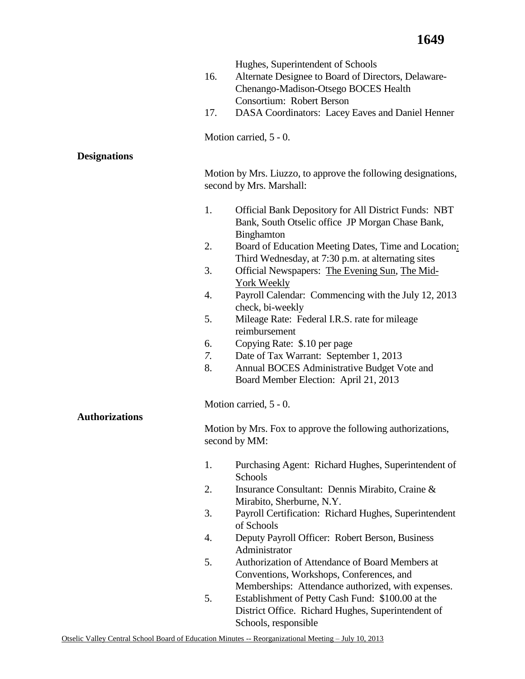|                       | Hughes, Superintendent of Schools                                                  |  |
|-----------------------|------------------------------------------------------------------------------------|--|
|                       | 16.<br>Alternate Designee to Board of Directors, Delaware-                         |  |
|                       | Chenango-Madison-Otsego BOCES Health                                               |  |
|                       | Consortium: Robert Berson                                                          |  |
|                       |                                                                                    |  |
|                       | DASA Coordinators: Lacey Eaves and Daniel Henner<br>17.                            |  |
|                       | Motion carried, 5 - 0.                                                             |  |
| <b>Designations</b>   |                                                                                    |  |
|                       | Motion by Mrs. Liuzzo, to approve the following designations,                      |  |
|                       | second by Mrs. Marshall:                                                           |  |
|                       | 1.<br><b>Official Bank Depository for All District Funds: NBT</b>                  |  |
|                       | Bank, South Otselic office JP Morgan Chase Bank,<br>Binghamton                     |  |
|                       | 2.<br>Board of Education Meeting Dates, Time and Location:                         |  |
|                       | Third Wednesday, at 7:30 p.m. at alternating sites                                 |  |
|                       | 3.<br>Official Newspapers: The Evening Sun, The Mid-                               |  |
|                       | York Weekly                                                                        |  |
|                       | 4.<br>Payroll Calendar: Commencing with the July 12, 2013                          |  |
|                       | check, bi-weekly                                                                   |  |
|                       | 5.<br>Mileage Rate: Federal I.R.S. rate for mileage                                |  |
|                       | reimbursement                                                                      |  |
|                       | Copying Rate: \$.10 per page<br>6.                                                 |  |
|                       | 7.<br>Date of Tax Warrant: September 1, 2013                                       |  |
|                       | 8.<br>Annual BOCES Administrative Budget Vote and                                  |  |
|                       | Board Member Election: April 21, 2013                                              |  |
|                       | Motion carried, 5 - 0.                                                             |  |
| <b>Authorizations</b> |                                                                                    |  |
|                       | Motion by Mrs. Fox to approve the following authorizations,                        |  |
|                       | second by MM:                                                                      |  |
|                       | 1.<br>Purchasing Agent: Richard Hughes, Superintendent of                          |  |
|                       | Schools                                                                            |  |
|                       | 2.<br>Insurance Consultant: Dennis Mirabito, Craine &<br>Mirabito, Sherburne, N.Y. |  |
|                       | 3.<br>Payroll Certification: Richard Hughes, Superintendent                        |  |
|                       | of Schools                                                                         |  |
|                       | 4.<br>Deputy Payroll Officer: Robert Berson, Business                              |  |
|                       | Administrator                                                                      |  |
|                       | 5.<br>Authorization of Attendance of Board Members at                              |  |
|                       | Conventions, Workshops, Conferences, and                                           |  |
|                       | Memberships: Attendance authorized, with expenses.                                 |  |
|                       | 5.<br>Establishment of Petty Cash Fund: \$100.00 at the                            |  |
|                       | District Office. Richard Hughes, Superintendent of                                 |  |
|                       | Schools, responsible                                                               |  |
|                       |                                                                                    |  |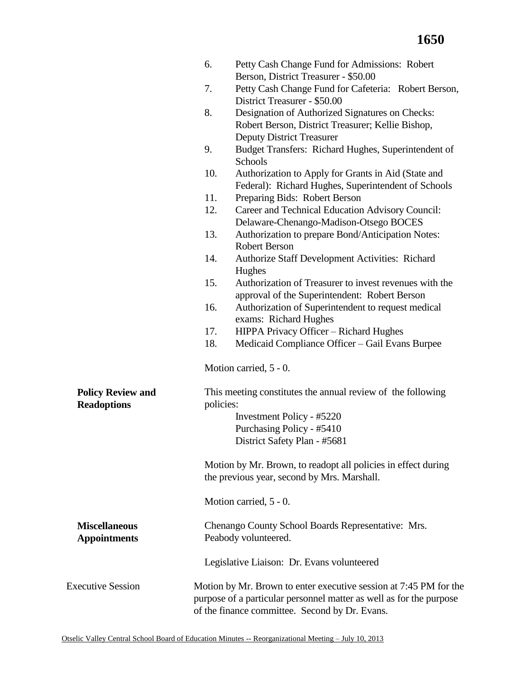|                          | 6.        | Petty Cash Change Fund for Admissions: Robert<br>Berson, District Treasurer - \$50.00                                                                                                      |
|--------------------------|-----------|--------------------------------------------------------------------------------------------------------------------------------------------------------------------------------------------|
|                          | 7.        | Petty Cash Change Fund for Cafeteria: Robert Berson,                                                                                                                                       |
|                          |           | District Treasurer - \$50.00                                                                                                                                                               |
|                          | 8.        | Designation of Authorized Signatures on Checks:                                                                                                                                            |
|                          |           | Robert Berson, District Treasurer; Kellie Bishop,                                                                                                                                          |
|                          |           | <b>Deputy District Treasurer</b>                                                                                                                                                           |
|                          | 9.        | Budget Transfers: Richard Hughes, Superintendent of<br>Schools                                                                                                                             |
|                          | 10.       | Authorization to Apply for Grants in Aid (State and                                                                                                                                        |
|                          |           | Federal): Richard Hughes, Superintendent of Schools                                                                                                                                        |
|                          | 11.       | Preparing Bids: Robert Berson                                                                                                                                                              |
|                          | 12.       | Career and Technical Education Advisory Council:                                                                                                                                           |
|                          |           | Delaware-Chenango-Madison-Otsego BOCES                                                                                                                                                     |
|                          | 13.       | Authorization to prepare Bond/Anticipation Notes:                                                                                                                                          |
|                          |           | <b>Robert Berson</b>                                                                                                                                                                       |
|                          | 14.       | <b>Authorize Staff Development Activities: Richard</b>                                                                                                                                     |
|                          |           | Hughes                                                                                                                                                                                     |
|                          | 15.       | Authorization of Treasurer to invest revenues with the                                                                                                                                     |
|                          |           | approval of the Superintendent: Robert Berson                                                                                                                                              |
|                          | 16.       | Authorization of Superintendent to request medical                                                                                                                                         |
|                          |           | exams: Richard Hughes                                                                                                                                                                      |
|                          | 17.       | HIPPA Privacy Officer - Richard Hughes                                                                                                                                                     |
|                          | 18.       | Medicaid Compliance Officer - Gail Evans Burpee                                                                                                                                            |
|                          |           | Motion carried, 5 - 0.                                                                                                                                                                     |
| <b>Policy Review and</b> |           | This meeting constitutes the annual review of the following                                                                                                                                |
| <b>Readoptions</b>       | policies: |                                                                                                                                                                                            |
|                          |           | Investment Policy - #5220                                                                                                                                                                  |
|                          |           | Purchasing Policy - #5410                                                                                                                                                                  |
|                          |           | District Safety Plan - #5681                                                                                                                                                               |
|                          |           | Motion by Mr. Brown, to readopt all policies in effect during                                                                                                                              |
|                          |           | the previous year, second by Mrs. Marshall.                                                                                                                                                |
|                          |           | Motion carried, 5 - 0.                                                                                                                                                                     |
| <b>Miscellaneous</b>     |           | Chenango County School Boards Representative: Mrs.                                                                                                                                         |
| <b>Appointments</b>      |           | Peabody volunteered.                                                                                                                                                                       |
|                          |           | Legislative Liaison: Dr. Evans volunteered                                                                                                                                                 |
| <b>Executive Session</b> |           | Motion by Mr. Brown to enter executive session at 7:45 PM for the<br>purpose of a particular personnel matter as well as for the purpose<br>of the finance committee. Second by Dr. Evans. |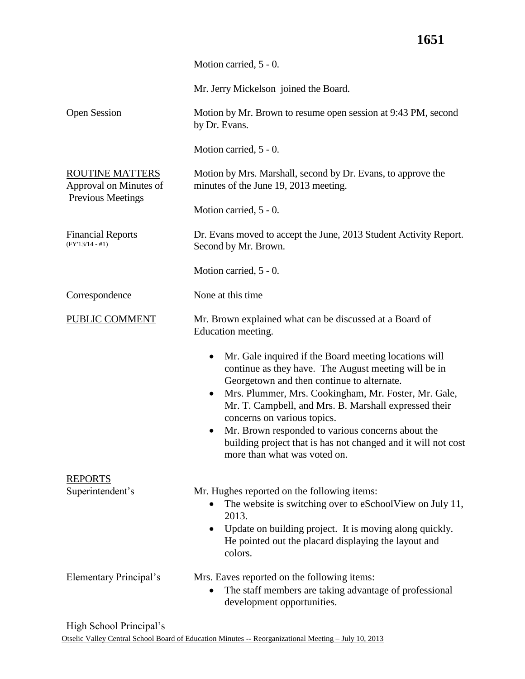# **1651**

|                                               | Motion carried, 5 - 0.                                                                                                                                                                                                                                                                                                                                                                                                                                            |  |  |  |
|-----------------------------------------------|-------------------------------------------------------------------------------------------------------------------------------------------------------------------------------------------------------------------------------------------------------------------------------------------------------------------------------------------------------------------------------------------------------------------------------------------------------------------|--|--|--|
|                                               | Mr. Jerry Mickelson joined the Board.                                                                                                                                                                                                                                                                                                                                                                                                                             |  |  |  |
| <b>Open Session</b>                           | Motion by Mr. Brown to resume open session at 9:43 PM, second<br>by Dr. Evans.                                                                                                                                                                                                                                                                                                                                                                                    |  |  |  |
|                                               | Motion carried, 5 - 0.                                                                                                                                                                                                                                                                                                                                                                                                                                            |  |  |  |
| ROUTINE MATTERS<br>Approval on Minutes of     | Motion by Mrs. Marshall, second by Dr. Evans, to approve the<br>minutes of the June 19, 2013 meeting.                                                                                                                                                                                                                                                                                                                                                             |  |  |  |
| <b>Previous Meetings</b>                      | Motion carried, 5 - 0.                                                                                                                                                                                                                                                                                                                                                                                                                                            |  |  |  |
| <b>Financial Reports</b><br>$(FY'13/14 - #1)$ | Dr. Evans moved to accept the June, 2013 Student Activity Report.<br>Second by Mr. Brown.                                                                                                                                                                                                                                                                                                                                                                         |  |  |  |
|                                               | Motion carried, 5 - 0.                                                                                                                                                                                                                                                                                                                                                                                                                                            |  |  |  |
| Correspondence                                | None at this time                                                                                                                                                                                                                                                                                                                                                                                                                                                 |  |  |  |
| <b>PUBLIC COMMENT</b>                         | Mr. Brown explained what can be discussed at a Board of<br>Education meeting.                                                                                                                                                                                                                                                                                                                                                                                     |  |  |  |
|                                               | Mr. Gale inquired if the Board meeting locations will<br>continue as they have. The August meeting will be in<br>Georgetown and then continue to alternate.<br>Mrs. Plummer, Mrs. Cookingham, Mr. Foster, Mr. Gale,<br>Mr. T. Campbell, and Mrs. B. Marshall expressed their<br>concerns on various topics.<br>Mr. Brown responded to various concerns about the<br>building project that is has not changed and it will not cost<br>more than what was voted on. |  |  |  |
| <b>REPORTS</b>                                |                                                                                                                                                                                                                                                                                                                                                                                                                                                                   |  |  |  |
| Superintendent's                              | Mr. Hughes reported on the following items:<br>The website is switching over to eSchoolView on July 11,<br>2013.<br>Update on building project. It is moving along quickly.<br>He pointed out the placard displaying the layout and<br>colors.                                                                                                                                                                                                                    |  |  |  |
| Elementary Principal's                        | Mrs. Eaves reported on the following items:<br>The staff members are taking advantage of professional<br>development opportunities.                                                                                                                                                                                                                                                                                                                               |  |  |  |

High School Principal's

Otselic Valley Central School Board of Education Minutes -- Reorganizational Meeting – July 10, 2013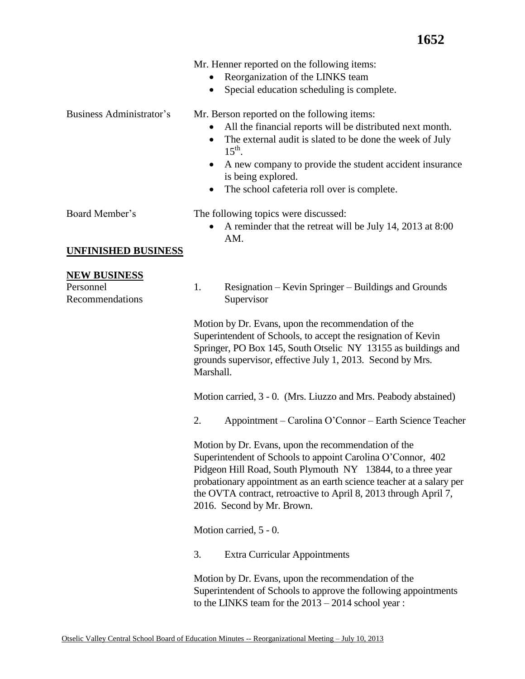|  | Mr. Henner reported on the following items: |  |  |
|--|---------------------------------------------|--|--|
|  |                                             |  |  |

- Reorganization of the LINKS team
- Special education scheduling is complete.

Business Administrator's Mr. Berson reported on the following items:

- All the financial reports will be distributed next month.
- The external audit is slated to be done the week of July  $15<sup>th</sup>$ .
- A new company to provide the student accident insurance is being explored.
- The school cafeteria roll over is complete.

- Board Member's The following topics were discussed:
	- A reminder that the retreat will be July 14, 2013 at 8:00 AM.

### **UNFINISHED BUSINESS**

### **NEW BUSINESS**

Personnel Recommendations 1. Resignation – Kevin Springer – Buildings and Grounds Supervisor

Motion by Dr. Evans, upon the recommendation of the Superintendent of Schools, to accept the resignation of Kevin Springer, PO Box 145, South Otselic NY 13155 as buildings and grounds supervisor, effective July 1, 2013. Second by Mrs. Marshall.

Motion carried, 3 - 0. (Mrs. Liuzzo and Mrs. Peabody abstained)

2. Appointment – Carolina O'Connor – Earth Science Teacher

Motion by Dr. Evans, upon the recommendation of the Superintendent of Schools to appoint Carolina O'Connor, 402 Pidgeon Hill Road, South Plymouth NY 13844, to a three year probationary appointment as an earth science teacher at a salary per the OVTA contract, retroactive to April 8, 2013 through April 7, 2016. Second by Mr. Brown.

Motion carried, 5 - 0.

3. Extra Curricular Appointments

Motion by Dr. Evans, upon the recommendation of the Superintendent of Schools to approve the following appointments to the LINKS team for the 2013 – 2014 school year :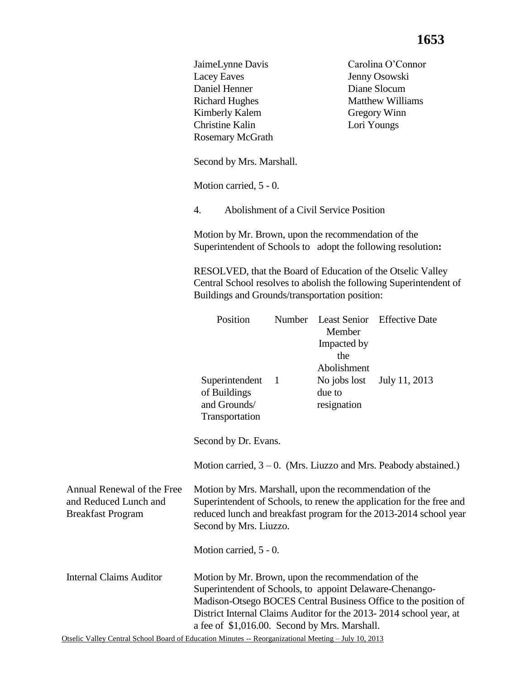|                                                                                 |                                                                                                                                                                                                                                |  |              |                                                      | ∸∿∽                                                                                                                                                                                               |
|---------------------------------------------------------------------------------|--------------------------------------------------------------------------------------------------------------------------------------------------------------------------------------------------------------------------------|--|--------------|------------------------------------------------------|---------------------------------------------------------------------------------------------------------------------------------------------------------------------------------------------------|
|                                                                                 | JaimeLynne Davis<br>Lacey Eaves<br>Daniel Henner<br><b>Richard Hughes</b><br><b>Kimberly Kalem</b><br><b>Christine Kalin</b><br>Rosemary McGrath                                                                               |  |              |                                                      | Carolina O'Connor<br>Jenny Osowski<br>Diane Slocum<br><b>Matthew Williams</b><br>Gregory Winn<br>Lori Youngs                                                                                      |
|                                                                                 | Second by Mrs. Marshall.                                                                                                                                                                                                       |  |              |                                                      |                                                                                                                                                                                                   |
|                                                                                 | Motion carried, 5 - 0.                                                                                                                                                                                                         |  |              |                                                      |                                                                                                                                                                                                   |
|                                                                                 | 4.                                                                                                                                                                                                                             |  |              | Abolishment of a Civil Service Position              |                                                                                                                                                                                                   |
|                                                                                 | Motion by Mr. Brown, upon the recommendation of the                                                                                                                                                                            |  |              |                                                      | Superintendent of Schools to adopt the following resolution:                                                                                                                                      |
|                                                                                 | Buildings and Grounds/transportation position:                                                                                                                                                                                 |  |              |                                                      | RESOLVED, that the Board of Education of the Otselic Valley<br>Central School resolves to abolish the following Superintendent of                                                                 |
|                                                                                 | Position                                                                                                                                                                                                                       |  | Number       | <b>Least Senior</b><br>Member<br>Impacted by<br>the  | <b>Effective Date</b>                                                                                                                                                                             |
|                                                                                 | Superintendent<br>of Buildings<br>and Grounds/<br>Transportation                                                                                                                                                               |  | $\mathbf{1}$ | Abolishment<br>No jobs lost<br>due to<br>resignation | July 11, 2013                                                                                                                                                                                     |
|                                                                                 | Second by Dr. Evans.                                                                                                                                                                                                           |  |              |                                                      |                                                                                                                                                                                                   |
|                                                                                 |                                                                                                                                                                                                                                |  |              |                                                      | Motion carried, $3 - 0$ . (Mrs. Liuzzo and Mrs. Peabody abstained.)                                                                                                                               |
| Annual Renewal of the Free<br>and Reduced Lunch and<br><b>Breakfast Program</b> | Motion by Mrs. Marshall, upon the recommendation of the<br>Superintendent of Schools, to renew the application for the free and<br>reduced lunch and breakfast program for the 2013-2014 school year<br>Second by Mrs. Liuzzo. |  |              |                                                      |                                                                                                                                                                                                   |
|                                                                                 | Motion carried, 5 - 0.                                                                                                                                                                                                         |  |              |                                                      |                                                                                                                                                                                                   |
| <b>Internal Claims Auditor</b>                                                  | Motion by Mr. Brown, upon the recommendation of the                                                                                                                                                                            |  |              | a fee of \$1,016.00. Second by Mrs. Marshall.        | Superintendent of Schools, to appoint Delaware-Chenango-<br>Madison-Otsego BOCES Central Business Office to the position of<br>District Internal Claims Auditor for the 2013-2014 school year, at |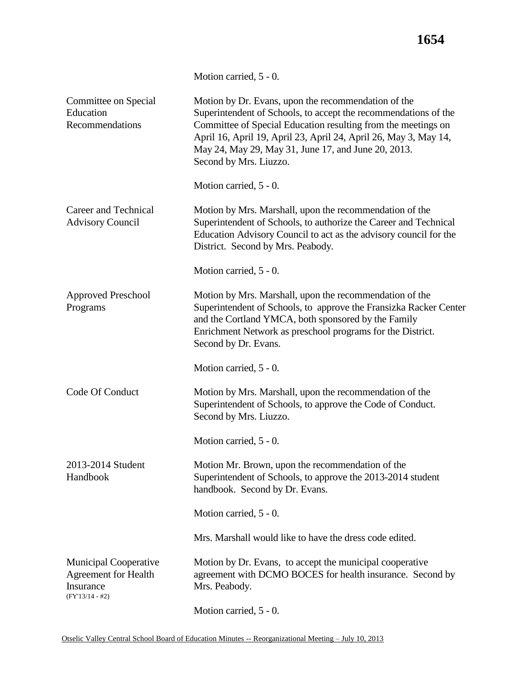|                                                                                               | Motion carried, 5 - 0.                                                                                                                                                                                                                                                                                                                       |
|-----------------------------------------------------------------------------------------------|----------------------------------------------------------------------------------------------------------------------------------------------------------------------------------------------------------------------------------------------------------------------------------------------------------------------------------------------|
| Committee on Special<br>Education<br>Recommendations                                          | Motion by Dr. Evans, upon the recommendation of the<br>Superintendent of Schools, to accept the recommendations of the<br>Committee of Special Education resulting from the meetings on<br>April 16, April 19, April 23, April 24, April 26, May 3, May 14,<br>May 24, May 29, May 31, June 17, and June 20, 2013.<br>Second by Mrs. Liuzzo. |
|                                                                                               | Motion carried, 5 - 0.                                                                                                                                                                                                                                                                                                                       |
| Career and Technical<br><b>Advisory Council</b>                                               | Motion by Mrs. Marshall, upon the recommendation of the<br>Superintendent of Schools, to authorize the Career and Technical<br>Education Advisory Council to act as the advisory council for the<br>District. Second by Mrs. Peabody.                                                                                                        |
|                                                                                               | Motion carried, 5 - 0.                                                                                                                                                                                                                                                                                                                       |
| <b>Approved Preschool</b><br>Programs                                                         | Motion by Mrs. Marshall, upon the recommendation of the<br>Superintendent of Schools, to approve the Fransizka Racker Center<br>and the Cortland YMCA, both sponsored by the Family<br>Enrichment Network as preschool programs for the District.<br>Second by Dr. Evans.                                                                    |
|                                                                                               | Motion carried, 5 - 0.                                                                                                                                                                                                                                                                                                                       |
| Code Of Conduct                                                                               | Motion by Mrs. Marshall, upon the recommendation of the<br>Superintendent of Schools, to approve the Code of Conduct.<br>Second by Mrs. Liuzzo.                                                                                                                                                                                              |
|                                                                                               | Motion carried, 5 - 0.                                                                                                                                                                                                                                                                                                                       |
| 2013-2014 Student<br>Handbook                                                                 | Motion Mr. Brown, upon the recommendation of the<br>Superintendent of Schools, to approve the 2013-2014 student<br>handbook. Second by Dr. Evans.                                                                                                                                                                                            |
|                                                                                               | Motion carried, 5 - 0.                                                                                                                                                                                                                                                                                                                       |
|                                                                                               | Mrs. Marshall would like to have the dress code edited.                                                                                                                                                                                                                                                                                      |
| <b>Municipal Cooperative</b><br><b>Agreement for Health</b><br>Insurance<br>$(FY'13/14 - #2)$ | Motion by Dr. Evans, to accept the municipal cooperative<br>agreement with DCMO BOCES for health insurance. Second by<br>Mrs. Peabody.                                                                                                                                                                                                       |
|                                                                                               | Motion carried, 5 - 0.                                                                                                                                                                                                                                                                                                                       |